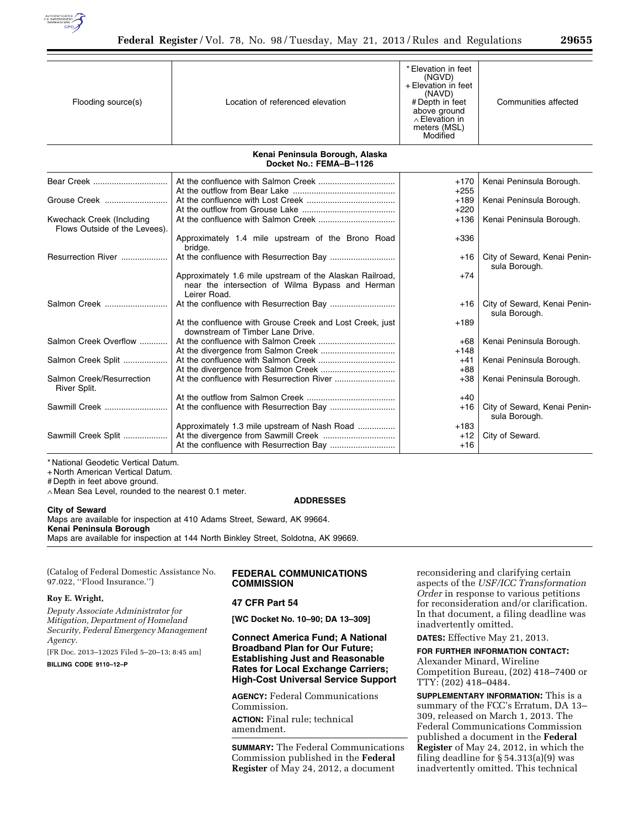

| Flooding source(s)                                         | Location of referenced elevation                                                                                             | * Elevation in feet<br>(NGVD)<br>+ Elevation in feet<br>(NAVD)<br># Depth in feet<br>above ground<br>$\wedge$ Elevation in<br>meters (MSL)<br>Modified | Communities affected                          |
|------------------------------------------------------------|------------------------------------------------------------------------------------------------------------------------------|--------------------------------------------------------------------------------------------------------------------------------------------------------|-----------------------------------------------|
|                                                            | Kenai Peninsula Borough, Alaska<br>Docket No.: FEMA-B-1126                                                                   |                                                                                                                                                        |                                               |
| Bear Creek                                                 |                                                                                                                              | $+170$                                                                                                                                                 | Kenai Peninsula Borough.                      |
|                                                            |                                                                                                                              | $+255$                                                                                                                                                 |                                               |
| Grouse Creek                                               |                                                                                                                              | $+189$                                                                                                                                                 | Kenai Peninsula Borough.                      |
|                                                            |                                                                                                                              | $+220$                                                                                                                                                 |                                               |
| Kwechack Creek (Including<br>Flows Outside of the Levees). |                                                                                                                              | $+136$                                                                                                                                                 | Kenai Peninsula Borough.                      |
|                                                            | Approximately 1.4 mile upstream of the Brono Road<br>bridge.                                                                 | $+336$                                                                                                                                                 |                                               |
| Resurrection River                                         |                                                                                                                              | +16                                                                                                                                                    | City of Seward, Kenai Penin-<br>sula Borough. |
|                                                            | Approximately 1.6 mile upstream of the Alaskan Railroad,<br>near the intersection of Wilma Bypass and Herman<br>Leirer Road. | $+74$                                                                                                                                                  |                                               |
| Salmon Creek                                               |                                                                                                                              | +16                                                                                                                                                    | City of Seward, Kenai Penin-<br>sula Borough. |
|                                                            | At the confluence with Grouse Creek and Lost Creek, just<br>downstream of Timber Lane Drive.                                 | $+189$                                                                                                                                                 |                                               |
| Salmon Creek Overflow                                      |                                                                                                                              | +68                                                                                                                                                    | Kenai Peninsula Borough.                      |
|                                                            |                                                                                                                              | $+148$                                                                                                                                                 |                                               |
| Salmon Creek Split                                         |                                                                                                                              | $+41$                                                                                                                                                  | Kenai Peninsula Borough.                      |
|                                                            | At the divergence from Salmon Creek                                                                                          | $+88$                                                                                                                                                  |                                               |
| Salmon Creek/Resurrection<br>River Split.                  |                                                                                                                              | $+38$                                                                                                                                                  | Kenai Peninsula Borough.                      |
|                                                            |                                                                                                                              | $+40$                                                                                                                                                  |                                               |
| Sawmill Creek                                              |                                                                                                                              | $+16$                                                                                                                                                  | City of Seward, Kenai Penin-<br>sula Borough. |
|                                                            | Approximately 1.3 mile upstream of Nash Road                                                                                 | $+183$                                                                                                                                                 |                                               |
| Sawmill Creek Split                                        |                                                                                                                              | $+12$                                                                                                                                                  | City of Seward.                               |
|                                                            |                                                                                                                              | $+16$                                                                                                                                                  |                                               |

\* National Geodetic Vertical Datum.

+ North American Vertical Datum.

# Depth in feet above ground.

∧ Mean Sea Level, rounded to the nearest 0.1 meter.

#### **ADDRESSES**

**City of Seward**  Maps are available for inspection at 410 Adams Street, Seward, AK 99664. **Kenai Peninsula Borough** 

Maps are available for inspection at 144 North Binkley Street, Soldotna, AK 99669.

(Catalog of Federal Domestic Assistance No. 97.022, ''Flood Insurance.'')

#### **Roy E. Wright,**

*Deputy Associate Administrator for Mitigation, Department of Homeland Security, Federal Emergency Management Agency.* 

[FR Doc. 2013–12025 Filed 5–20–13; 8:45 am]

**BILLING CODE 9110–12–P** 

# **FEDERAL COMMUNICATIONS COMMISSION**

## **47 CFR Part 54**

**[WC Docket No. 10–90; DA 13–309]** 

**Connect America Fund; A National Broadband Plan for Our Future; Establishing Just and Reasonable Rates for Local Exchange Carriers; High-Cost Universal Service Support** 

**AGENCY:** Federal Communications Commission. **ACTION:** Final rule; technical amendment.

**SUMMARY:** The Federal Communications Commission published in the **Federal Register** of May 24, 2012, a document

reconsidering and clarifying certain aspects of the *USF/ICC Transformation Order* in response to various petitions for reconsideration and/or clarification. In that document, a filing deadline was inadvertently omitted.

**DATES:** Effective May 21, 2013.

**FOR FURTHER INFORMATION CONTACT:** 

Alexander Minard, Wireline Competition Bureau, (202) 418–7400 or TTY: (202) 418–0484.

**SUPPLEMENTARY INFORMATION:** This is a summary of the FCC's Erratum, DA 13– 309, released on March 1, 2013. The Federal Communications Commission published a document in the **Federal Register** of May 24, 2012, in which the filing deadline for § 54.313(a)(9) was inadvertently omitted. This technical